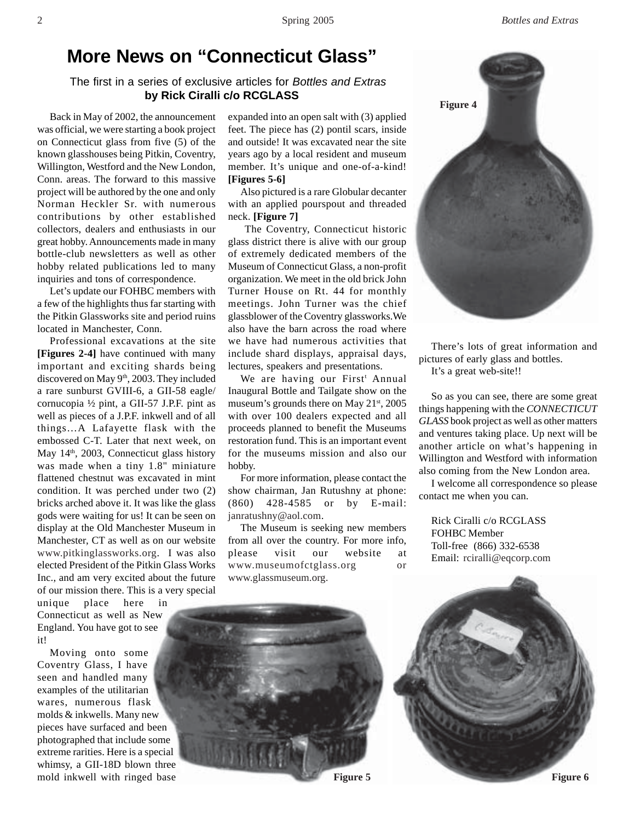## **More News on "Connecticut Glass"**

## The first in a series of exclusive articles for *Bottles and Extras* **by Rick Ciralli c/o RCGLASS**

Back in May of 2002, the announcement was official, we were starting a book project on Connecticut glass from five (5) of the known glasshouses being Pitkin, Coventry, Willington, Westford and the New London, Conn. areas. The forward to this massive project will be authored by the one and only Norman Heckler Sr. with numerous contributions by other established collectors, dealers and enthusiasts in our great hobby. Announcements made in many bottle-club newsletters as well as other hobby related publications led to many inquiries and tons of correspondence.

Let's update our FOHBC members with a few of the highlights thus far starting with the Pitkin Glassworks site and period ruins located in Manchester, Conn.

Professional excavations at the site **[Figures 2-4]** have continued with many important and exciting shards being discovered on May 9<sup>th</sup>, 2003. They included a rare sunburst GVIII-6, a GII-58 eagle/ cornucopia ½ pint, a GII-57 J.P.F. pint as well as pieces of a J.P.F. inkwell and of all things…A Lafayette flask with the embossed C-T. Later that next week, on May 14<sup>th</sup>, 2003, Connecticut glass history was made when a tiny 1.8" miniature flattened chestnut was excavated in mint condition. It was perched under two (2) bricks arched above it. It was like the glass gods were waiting for us! It can be seen on display at the Old Manchester Museum in Manchester, CT as well as on our website www.pitkinglassworks.org. I was also elected President of the Pitkin Glass Works Inc., and am very excited about the future of our mission there. This is a very special

unique place here in Connecticut as well as New England. You have got to see it!

Moving onto some Coventry Glass, I have seen and handled many examples of the utilitarian wares, numerous flask molds & inkwells. Many new pieces have surfaced and been photographed that include some extreme rarities. Here is a special whimsy, a GII-18D blown three mold inkwell with ringed base expanded into an open salt with (3) applied feet. The piece has (2) pontil scars, inside and outside! It was excavated near the site years ago by a local resident and museum member. It's unique and one-of-a-kind! **[Figures 5-6]**

Also pictured is a rare Globular decanter with an applied pourspout and threaded neck. **[Figure 7]**

The Coventry, Connecticut historic glass district there is alive with our group of extremely dedicated members of the Museum of Connecticut Glass, a non-profit organization. We meet in the old brick John Turner House on Rt. 44 for monthly meetings. John Turner was the chief glassblower of the Coventry glassworks.We also have the barn across the road where we have had numerous activities that include shard displays, appraisal days, lectures, speakers and presentations.

We are having our First<sup>t</sup> Annual Inaugural Bottle and Tailgate show on the museum's grounds there on May 21<sup>st</sup>, 2005 with over 100 dealers expected and all proceeds planned to benefit the Museums restoration fund. This is an important event for the museums mission and also our hobby.

For more information, please contact the show chairman, Jan Rutushny at phone: (860) 428-4585 or by E-mail: janratushny@aol.com.

The Museum is seeking new members from all over the country. For more info, please visit our website at www.museumofctglass.org or www.glassmuseum.org.



There's lots of great information and pictures of early glass and bottles. It's a great web-site!!

So as you can see, there are some great things happening with the *CONNECTICUT GLASS* book project as well as other matters and ventures taking place. Up next will be another article on what's happening in Willington and Westford with information also coming from the New London area.

I welcome all correspondence so please contact me when you can.

Rick Ciralli c/o RCGLASS FOHBC Member Toll-free (866) 332-6538 Email: rciralli@eqcorp.com